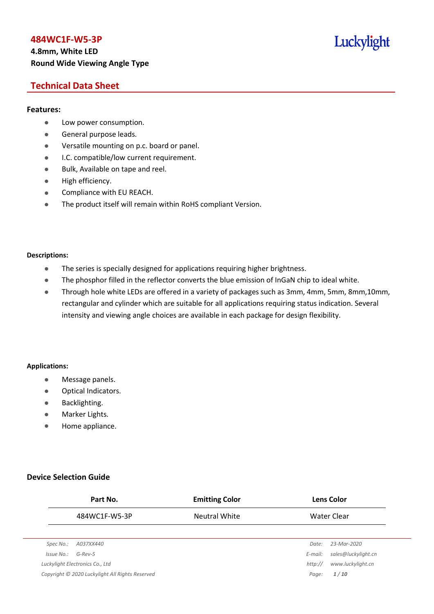# **4.8mm, White LED Round Wide Viewing Angle Type**

# Luckylight

# **Technical Data Sheet**

#### **Features:**

- **•** Low power consumption.
- **General purpose leads.**
- Versatile mounting on p.c. board or panel.
- **I.C. compatible/low current requirement.**
- Bulk, Available on tape and reel.
- $\bullet$  High efficiency.
- **•** Compliance with EU REACH.
- The product itself will remain within RoHS compliant Version.

#### **Descriptions:**

- The series is specially designed for applications requiring higher brightness.
- The phosphor filled in the reflector converts the blue emission of InGaN chip to ideal white.
- Through hole white LEDs are offered in a variety of packages such as 3mm, 4mm, 5mm, 8mm,10mm, rectangular and cylinder which are suitable for all applications requiring status indication. Several intensity and viewing angle choices are available in each package for design flexibility.

#### **Applications:**

- **•** Message panels.
- Optical Indicators.
- Backlighting.
- Marker Lights.
- Home appliance.

#### **Device Selection Guide**

|            | Part No.                                        | <b>Emitting Color</b> |         | <b>Lens Color</b>   |
|------------|-------------------------------------------------|-----------------------|---------|---------------------|
|            | 484WC1F-W5-3P                                   | <b>Neutral White</b>  |         | Water Clear         |
|            |                                                 |                       |         |                     |
| Spec No.:  | A037XX440                                       |                       | Date:   | 23-Mar-2020         |
| Issue No.: | $G$ -Rev-5                                      |                       | E-mail: | sales@luckylight.cn |
|            | Luckylight Electronics Co., Ltd                 |                       | http:// | www.luckylight.cn   |
|            | Copyright © 2020 Luckylight All Rights Reserved |                       | Page:   | 1/10                |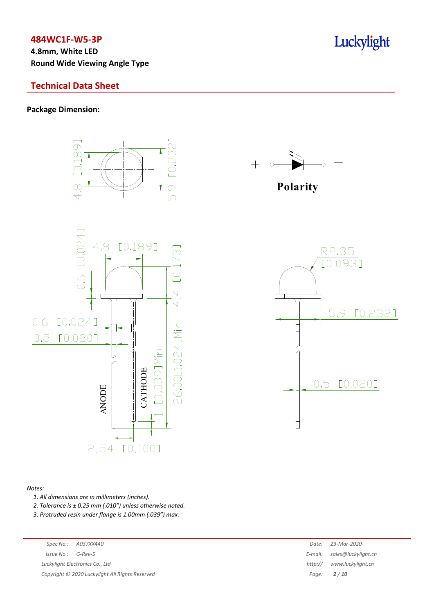**4.8mm, White LED Round Wide Viewing Angle Type**

### **Technical Data Sheet**

#### **Package Dimension:**



#### *Notes:*

*1. All dimensions are in millimeters (inches).*

*2. Tolerance is ± 0.25 mm (.010″) unless otherwise noted.*

*3. Protruded resin under flange is 1.00mm (.039″) max.*

|                       | Spec No.: A037XX440             | Date: 23-Mar-2020           |
|-----------------------|---------------------------------|-----------------------------|
| $Is sue No.: G-Rev-5$ |                                 | E-mail: sales@luckylight.cn |
|                       | Luckylight Electronics Co., Ltd | http:// www.luckylight.cn   |

*Copyright © 2020 Luckylight All Rights Reserved Page: 2 / 10*

|         | Date: 23-Mar-2020           |
|---------|-----------------------------|
|         | E-mail: sales@luckylight.cn |
| http:// | www.luckylight.cn           |
| Page:   | 2/10                        |

# Luckylight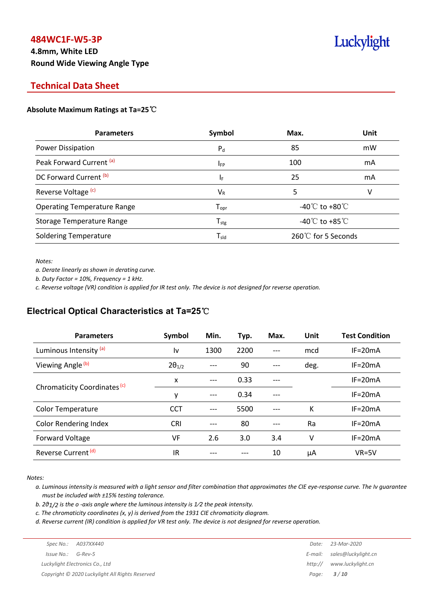# **4.8mm, White LED Round Wide Viewing Angle Type**

# Luckylight

# **Technical Data Sheet**

#### **Absolute Maximum Ratings at Ta=25**℃

| <b>Parameters</b>                  | Symbol                       | Max.                                 | Unit |
|------------------------------------|------------------------------|--------------------------------------|------|
| Power Dissipation                  | $P_{d}$                      | 85                                   | mW   |
| Peak Forward Current (a)           | $I_{FP}$                     | 100                                  | mA   |
| DC Forward Current (b)             | ΙF                           | 25                                   | mA   |
| Reverse Voltage <sup>(c)</sup>     | $V_{R}$                      | 5                                    | v    |
| <b>Operating Temperature Range</b> | ${\mathsf T}_{\textsf{opr}}$ | -40 $\degree$ C to +80 $\degree$ C   |      |
| Storage Temperature Range          | $T_{\text{stg}}$             | -40 $^{\circ}$ C to +85 $^{\circ}$ C |      |
| <b>Soldering Temperature</b>       | $\mathsf{T}_{\mathsf{std}}$  | 260℃ for 5 Seconds                   |      |

*Notes:*

*a. Derate linearly as shown in derating curve.*

*b. Duty Factor = 10%, Frequency = 1 kHz.*

c. Reverse voltage (VR) condition is applied for IR test only. The device is not designed for reverse operation.

# **Electrical Optical Characteristics at Ta=25**℃

| <b>Parameters</b>              | Symbol          | Min. | Typ. | Max.  | Unit | <b>Test Condition</b> |
|--------------------------------|-----------------|------|------|-------|------|-----------------------|
| Luminous Intensity (a)         | l٧              | 1300 | 2200 |       | mcd  | $IF = 20mA$           |
| Viewing Angle (b)              | $2\theta_{1/2}$ |      | 90   |       | deg. | $IF = 20mA$           |
|                                | X               | ---  | 0.33 | $---$ |      | $IF=20mA$             |
| Chromaticity Coordinates (c)   | y               | ---  | 0.34 |       |      | $IF=20mA$             |
| <b>Color Temperature</b>       | <b>CCT</b>      |      | 5500 |       | К    | $IF = 20mA$           |
| <b>Color Rendering Index</b>   | <b>CRI</b>      |      | 80   | ---   | Ra   | $IF=20mA$             |
| Forward Voltage                | VF              | 2.6  | 3.0  | 3.4   | V    | $IF = 20mA$           |
| Reverse Current <sup>(d)</sup> | IR              |      |      | 10    | μA   | $VR=5V$               |

*Notes:*

a. Luminous intensity is measured with a light sensor and filter combination that approximates the CIE eye-response curve. The Iv guarantee *must be included with ±15% testing tolerance.*

*b. 2θ1/2 is the o -axis angle where the luminous intensity is 1⁄2 the peak intensity.*

*c. The chromaticity coordinates (x, y) is derived from the 1931 CIE chromaticity diagram.*

d. Reverse current (IR) condition is applied for VR test only. The device is not designed for reverse operation.

|                       | Spec No.: A037XX440                             | Date:   | 23-Mar-2020                 |
|-----------------------|-------------------------------------------------|---------|-----------------------------|
| $Is sue No.: G-Rev-5$ |                                                 |         | E-mail: sales@luckylight.cn |
|                       | Luckylight Electronics Co., Ltd                 | http:// | www.luckylight.cn           |
|                       | Copyright © 2020 Luckylight All Rights Reserved |         | Page: $3/10$                |
|                       |                                                 |         |                             |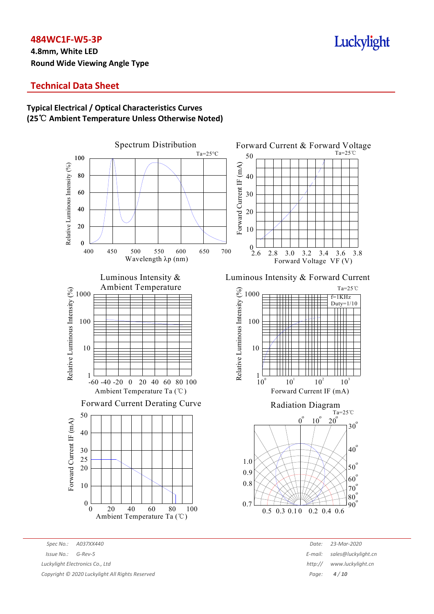**4.8mm, White LED Round Wide Viewing Angle Type**

# Luckylight

# **Technical Data Sheet**

# **Typical Electrical / Optical Characteristics Curves (25**℃ **Ambient Temperature Unless Otherwise Noted)**



*Spec No.: A037XX440 Date: 23-Mar-2020 Issue No.: G-Rev-5 E-mail: sales@luckylight.cn Luckylight Electronics Co., Ltd http:// www.luckylight.cn Copyright © 2020 Luckylight All Rights Reserved Page: 4 / 10*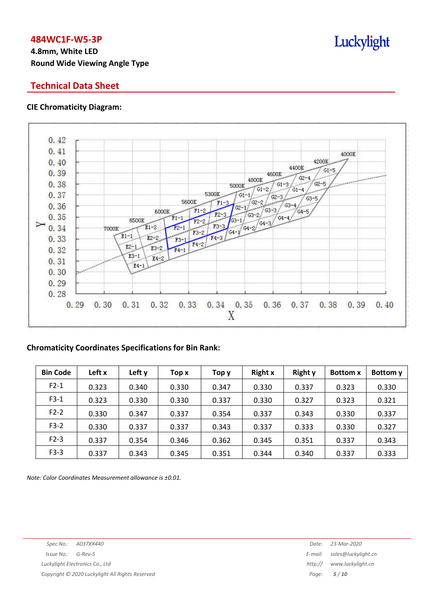# **4.8mm, White LED Round Wide Viewing Angle Type**

# **Technical Data Sheet**

#### **CIE Chromaticity Diagram:**



#### **Chromaticity Coordinates Specifications for Bin Rank:**

| <b>Bin Code</b> | Left x | Left y | Top x | Top y | <b>Right x</b> | <b>Right y</b> | <b>Bottom</b> x | Bottom y |
|-----------------|--------|--------|-------|-------|----------------|----------------|-----------------|----------|
| $F2-1$          | 0.323  | 0.340  | 0.330 | 0.347 | 0.330          | 0.337          | 0.323           | 0.330    |
| $F3-1$          | 0.323  | 0.330  | 0.330 | 0.337 | 0.330          | 0.327          | 0.323           | 0.321    |
| $F2-2$          | 0.330  | 0.347  | 0.337 | 0.354 | 0.337          | 0.343          | 0.330           | 0.337    |
| $F3-2$          | 0.330  | 0.337  | 0.337 | 0.343 | 0.337          | 0.333          | 0.330           | 0.327    |
| $F2-3$          | 0.337  | 0.354  | 0.346 | 0.362 | 0.345          | 0.351          | 0.337           | 0.343    |
| $F3-3$          | 0.337  | 0.343  | 0.345 | 0.351 | 0.344          | 0.340          | 0.337           | 0.333    |

*Note: Color Coordinates Measurement allowance is ±0.01.*

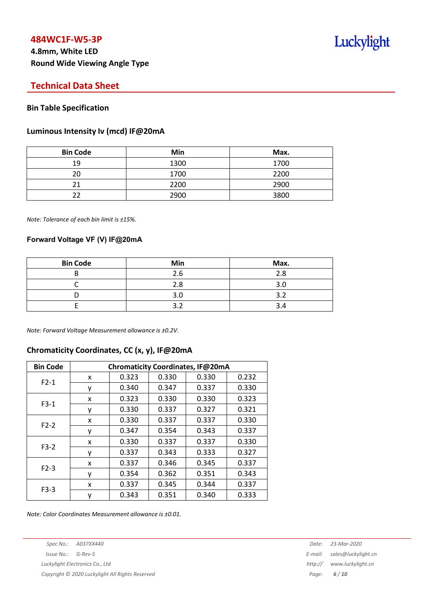# **Technical Data Sheet**

#### **Bin Table Specification**

#### **Luminous Intensity Iv (mcd) IF@20mA**

| <b>Bin Code</b> | Min  | Max. |
|-----------------|------|------|
| 19              | 1300 | 1700 |
| 20              | 1700 | 2200 |
| 21              | 2200 | 2900 |
| つつ              | 2900 | 3800 |

*Note: Tolerance of each bin limit is ±15%.*

#### **Forward Voltage VF (V) IF@20mA**

| <b>Bin Code</b> | Min | Max. |
|-----------------|-----|------|
|                 | 2.6 | 2.8  |
|                 | 2.8 | 3.0  |
|                 | 3.0 | ₹    |
|                 |     |      |

*Note: Forward Voltage Measurement allowance is ±0.2V.*

#### **Chromaticity Coordinates, CC (x, y), IF@20mA**

| <b>Bin Code</b> | Chromaticity Coordinates, IF@20mA |       |       |       |       |  |  |
|-----------------|-----------------------------------|-------|-------|-------|-------|--|--|
| $F2-1$          | x                                 | 0.323 | 0.330 | 0.330 | 0.232 |  |  |
|                 | ٧                                 | 0.340 | 0.347 | 0.337 | 0.330 |  |  |
| $F3-1$          | x                                 | 0.323 | 0.330 | 0.330 | 0.323 |  |  |
|                 | ٧                                 | 0.330 | 0.337 | 0.327 | 0.321 |  |  |
| $F2-2$          | X                                 | 0.330 | 0.337 | 0.337 | 0.330 |  |  |
|                 | у                                 | 0.347 | 0.354 | 0.343 | 0.337 |  |  |
| $F3-2$          | x                                 | 0.330 | 0.337 | 0.337 | 0.330 |  |  |
|                 | ۷                                 | 0.337 | 0.343 | 0.333 | 0.327 |  |  |
| $F2-3$          | x                                 | 0.337 | 0.346 | 0.345 | 0.337 |  |  |
|                 | ٧                                 | 0.354 | 0.362 | 0.351 | 0.343 |  |  |
| $F3-3$          | x                                 | 0.337 | 0.345 | 0.344 | 0.337 |  |  |
|                 | у                                 | 0.343 | 0.351 | 0.340 | 0.333 |  |  |

*Note: Color Coordinates Measurement allowance is ±0.01.*

*Spec No.: A037XX440 Date: 23-Mar-2020*

*Copyright © 2020 Luckylight All Rights Reserved Page: 6 / 10*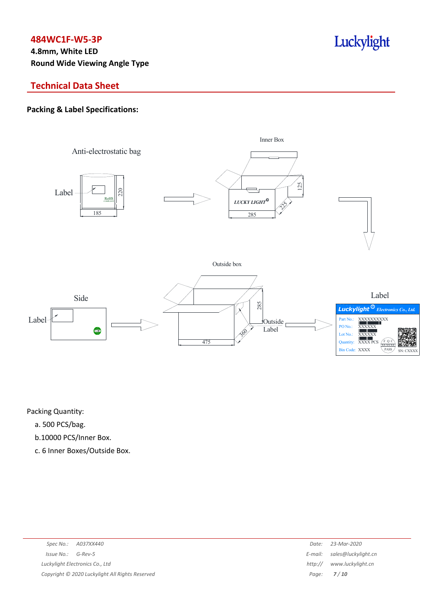# **4.8mm, White LED Round Wide Viewing Angle Type**

# **Technical Data Sheet**

# **Packing & Label Specifications:**



Luckylight

Packing Quantity:

- a. 500 PCS/bag.
- b.10000 PCS/Inner Box.
- c. 6 Inner Boxes/Outside Box.

| Spec No.: A037XX440                             | Date:   | 23-Mar-2020                 |
|-------------------------------------------------|---------|-----------------------------|
| $Is sue No.:  G-Rev-5$                          |         | E-mail: sales@luckylight.cn |
| Luckylight Electronics Co., Ltd                 | http:// | www.luckylight.cn           |
| Copyright © 2020 Luckylight All Rights Reserved |         | Page: $7/10$                |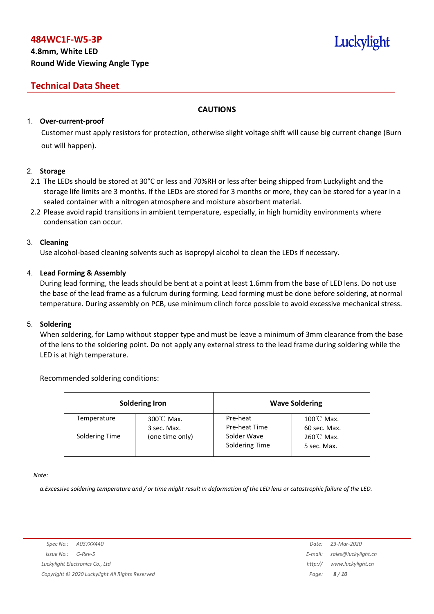# **4.8mm, White LED Round Wide Viewing Angle Type**

# **Technical Data Sheet**

### **CAUTIONS**

#### 1. **Over-current-proof**

Customer must apply resistors for protection, otherwise slight voltage shift will cause big current change (Burn out will happen).

#### 2. **Storage**

- 2.1 The LEDs should be stored at 30°C or less and 70%RH or less after being shipped from Luckylight and the storage life limits are 3 months. If the LEDs are stored for 3 months or more, they can be stored for a year in a sealed container with a nitrogen atmosphere and moisture absorbent material.
- 2.2 Please avoid rapid transitions in ambient temperature, especially, in high humidity environments where condensation can occur.

#### 3. **Cleaning**

Use alcohol-based cleaning solvents such as isopropyl alcohol to clean the LEDs if necessary.

#### 4. **Lead Forming & Assembly**

During lead forming, the leads should be bent at a point at least 1.6mm from the base of LED lens. Do not use the base of the lead frame as a fulcrum during forming. Lead forming must be done before soldering, at normal temperature. During assembly on PCB, use minimum clinch force possible to avoid excessive mechanical stress.

#### 5. **Soldering**

When soldering, for Lamp without stopper type and must be leave a minimum of 3mm clearance from the base of the lens to the soldering point. Do not apply any external stress to the lead frame during soldering while the LED is at high temperature.

#### Recommended soldering conditions:

|                | <b>Soldering Iron</b>               |                               | <b>Wave Soldering</b>                |
|----------------|-------------------------------------|-------------------------------|--------------------------------------|
| Temperature    | $300^{\circ}$ C Max.<br>3 sec. Max. | Pre-heat<br>Pre-heat Time     | $100^{\circ}$ C Max.<br>60 sec. Max. |
| Soldering Time | (one time only)                     | Solder Wave<br>Soldering Time | $260^{\circ}$ C Max.<br>5 sec. Max.  |

*Note:*

a. Excessive soldering temperature and / or time might result in deformation of the LED lens or catastrophic failure of the LED.

Luckylight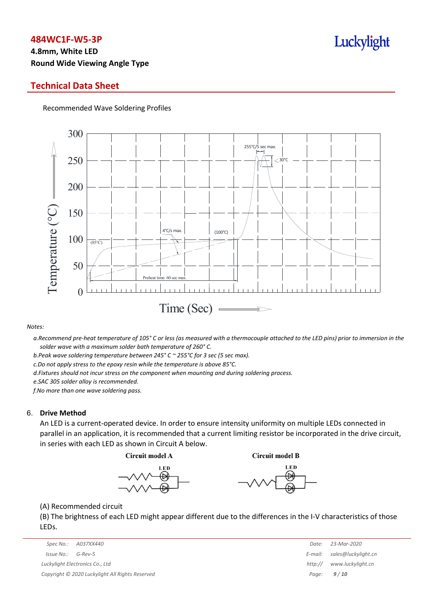# **4.8mm, White LED Round Wide Viewing Angle Type**

### **Technical Data Sheet**

Recommended Wave Soldering Profiles



#### *Notes:*

a. Recommend pre-heat temperature of 105° C or less (as measured with a thermocouple attached to the LED pins) prior to immersion in the *solder wave with a maximum solder bath temperature of 260° C.*

*b.Peak wave soldering temperature between 245° C ~ 255°C for 3 sec (5 sec max).*

*c.Do not apply stress to the epoxy resin while the temperature is above 85°C.*

*d.Fixtures should not incur stress on the component when mounting and during soldering process.*

*e.SAC 305 solder alloy is recommended.*

*f.No more than one wave soldering pass.*

#### 6. **Drive Method**

An LED is a current-operated device. In order to ensure intensity uniformity on multiple LEDs connected in parallel in an application, it is recommended that a current limiting resistor be incorporated in the drive circuit, in series with each LED as shown in Circuit A below.

**Circuit model A** 

**Circuit model B** 





(A) Recommended circuit

(B) The brightness of each LED might appear different due to the differences in the I-V characteristics of those LEDs.

|                                                 | Spec No.: A037XX440 | Date:   | 23-Mar-2020                 |
|-------------------------------------------------|---------------------|---------|-----------------------------|
| Issue No.:                                      | G-Rev-5             |         | E-mail: sales@luckylight.cn |
| Luckylight Electronics Co., Ltd                 |                     | http:// | www.luckylight.cn           |
| Copyright © 2020 Luckylight All Rights Reserved |                     |         | Page: $9/10$                |

| Date:   | 23-Mar-2020         |
|---------|---------------------|
| E-mail: | sales@luckylight.cn |
| http:// | www.luckylight.cn   |
| Page:   | 9/10                |

# Luckylight